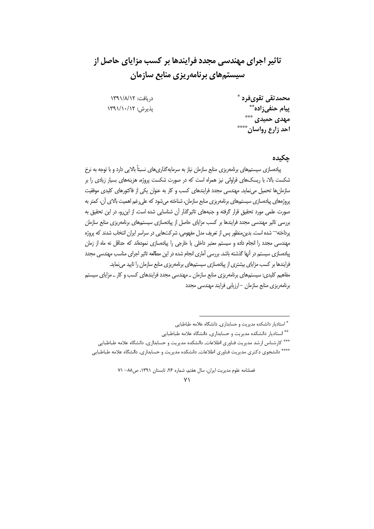# تاثیر اجرای مهندسی مجدد فرایندها بر کسب مزایای حاصل از سیستمهای برنامهریزی منابع سازمان

دريافت: ١٣٩١/٨/١٢ يذيرش: ١٣٩١/١٠/١٢

محمدتقي تقوىفرد \* ييام حنفي;اده\*\* مهدی حمیدی \*\*\* احد زارع رواسان \*\*\*\*

چکیدہ

پیادهسازی سیستمهای برنامهریزی منابع سازمان نیاز به سرمایهگذاریهای نسبتاً بالایی دارد و با توجه به نرخ شکست بالا، با ریسکهای فراوانی نیز همراه است که در صورت شکست پروژه، هزینههای بسیار زیادی را بر سازمانها تحمیل می نماید. مهندسی مجدد فرایندهای کسب و کار به عنوان یکی از فاکتورهای کلیدی موفقیت پروژههای پیادهسازی سیستمهای برنامهریزی منابع سازمان، شناخته میشود که علی رغم اهمیت بالای آن، کمتر به صورت علمی مورد تحقیق قرار گرفته و جنبههای تاثیرگذار آن شناسایی شده است. از این رو، در این تحقیق به بررسی تاثیر مهندسی مجدد فرایندها بر کسب مزایای حاصل از پیادهسازی سیستمهای برنامهریزی منابع سازمان پرداخته¬ شده است. بدین منظور پس از تعریف مدل مفهومی، شرکتهایی در سراسر ایران انتخاب شدند که پروژه مهندسی مجدد را انجام داده و سیستم معتبر داخلی یا خارجی را پیادهسازی نمودهاند که حداقل نه ماه از زمان پیادهسازی سیستم در آنها گذشته باشد. بررسی آماری انجام شده در این مطالعه تاثیر اجرای مناسب مهندسی مجدد فرایندها بر کسب مزایای بیشتری از پیادهسازی سیستمهای برنامهریزی منابع سازمان را تایید می نماید. مفاهیم کلیدی: سیستمهای برنامهریزی منابع سازمان \_ مهندسی مجدد فرایندهای کسب و کار \_ مزایای سیستم برنامهریزی منابع سازمان –ارزیابی فرایند مهندسی مجدد

<sup>\*</sup> استادیار دانشکده مدیریت و حسابداری, دانشگاه علامه طباطبایی

<sup>\*\*</sup> استادیار دانشکده مدیریت و حسابداری, دانشگاه علامه طباطبایی

<sup>\*\*\*</sup> كارشناس ارشد مديريت فناوري اطلاعات, دانشكده مديريت و حسابداري, دانشگاه علامه طباطبايي \*\*\*\* دانشجوی دکتری مدیریت فناوری اطلاعات, دانشکده مدیریت و حسابداری, دانشگاه علامه طباطبایی

فصلنامه علوم مديريت ايران، سال هفتم، شماره ٢۶، تابستان ١٣٩١، ص٨٨– ٧١

 $\vee$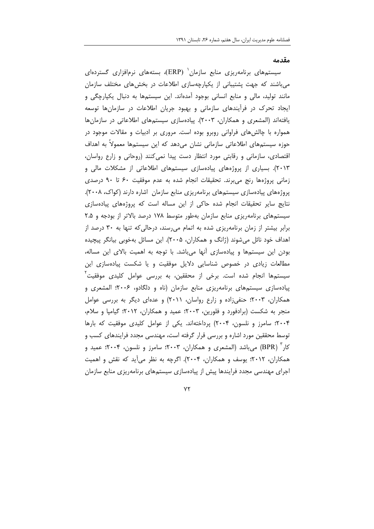مقدمه

سیستمهای برنامهریزی منابع سازمان<sup>٬</sup> (ERP)، بستههای نرمافزاری گستردهای می باشند که جهت پشتیبانی از یکپارچهسازی اطلاعات در بخش های مختلف سازمان مانند تولید، مالی و منابع انسانی بوجود آمدهاند. این سیستمها به دنبال یکپارچگی و ایجاد تحرک در فرآیندهای سازمانی و بهبود جریان اطلاعات در سازمانها توسعه یافتهاند (المشعری و همکاران، ۲۰۰۳). ییادهسازی سیستمهای اطلاعاتی در سازمانها همواره با چالشهای فراوانی روبرو بوده است. مروری بر ادبیات و مقالات موجود در حوزه سیستمهای اطلاعاتی سازمانی نشان میدهد که این سیستمها معمولاً به اهداف اقتصادی، سازمانی و رقابتی مورد انتظار دست پیدا نمی کنند (روحانی و زارع رواسان، ۲۰۱۳). بسیاری از پروژههای پیادهسازی سیستمهای اطلاعاتی از مشکلات مالی و زمانی پروژهها رنج می برند. تحقیقات انجام شده به عدم موفقیت ۶۰ تا ۹۰ درصدی پروژەهای پیادەسازی سیستمهای برنامەریزی منابع سازمان اشارە دارند (کواک، ۲۰۰۸). نتايج ساير تحقيقات انجام شده حاكى از اين مساله است كه پروژههاى پيادهسازى سیستمهای برنامهریزی منابع سازمان بهطور متوسط ۱۷۸ درصد بالاتر از بودجه و ۲.۵ برابر بیشتر از زمان برنامهریزی شده به اتمام می رسند، درحالی که تنها به ۳۰ درصد از اهداف خود نائل میشوند (ژانگ و همکاران، ۲۰۰۵). این مسائل بهخوبی بیانگر پیچیده بودن این سیستمها و پیادهسازی اَنها می باشد. با توجه به اهمیت بالای این مساله، مطالعات زیادی در خصوص شناسایی دلایل موفقیت و یا شکست پیادهسازی این سیستمها انجام شده است. برخی از محققین، به بررسی عوامل کلیدی موفقیت ٰ پیادهسازی سیستمهای برنامهریزی منابع سازمان (ناه و دلگادو، ۲۰۰۶؛ المشعری و همکاران، ۲۰۰۳؛ حنفی زاده و زارع رواسان، ۲۰۱۱) و عدهای دیگر به بررسی عوامل منجر به شکست (برادفورد و فلورین، ۲۰۰۳؛ عمید و همکاران، ۲۰۱۲؛ گیامپا و سلام، ۲۰۰۴؛ سامرز و نلسون، ۲۰۰۴) پرداختهاند. یکی از عوامل کلیدی موفقیت که بارها توسط محققین مورد اشاره و بررسی قرار گرفته است، مهندسی مجدد فرایندهای کسب و کار ' (BPR) می باشد (المشعری و همکاران، ۲۰۰۳؛ سامرز و نلسون، ۲۰۰۴؛ عمید و همکاران، ۲۰۱۲؛ یوسف و همکاران، ۲۰۰۴). اگرچه به نظر می آید که نقش و اهمیت اجرای مهندسی مجدد فرایندها پیش از پیادهسازی سیستمهای برنامهریزی منابع سازمان

 $YY$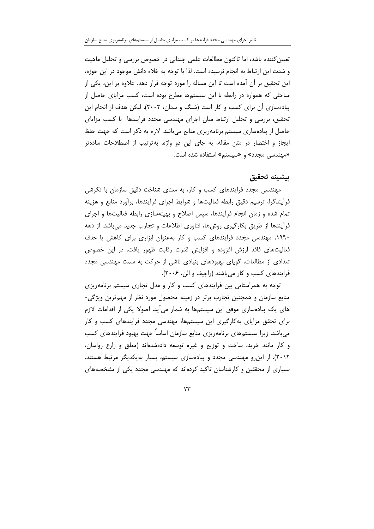تعیین کننده باشد، اما تاکنون مطالعات علمی چندانی در خصوص بررسی و تحلیل ماهیت و شدت این ارتباط به انجام نرسیده است. لذا با توجه به خلاء دانش موجود در این حوزه، این تحقیق بر آن آمده است تا این مساله را مورد توجه قرار دهد. علاوه بر این، یکی از مباحثی که همواره در رابطه با این سیستمها مطرح بوده است، کسب مزایای حاصل از پیادهسازی آن برای کسب و کار است (شنگ و سدان، ۲۰۰۲). لیکن هدف از انجام این تحقیق، بررسی و تحلیل ارتباط میان اجرای مهندسی مجدد فرایندها با کسب مزایای حاصل از پیادهسازی سیستم برنامهریزی منابع میباشد. لازم به ذکر است که جهت حفظ ایجاز و اختصار در متن مقاله، به جای این دو واژه، بهترتیب از اصطلاحات سادهتر «مهندسی مجدد» و «سیستم» استفاده شده است.

#### يبشينه تحقيق

مهندسی مجدد فرایندهای کسب و کار، به معنای شناخت دقیق سازمان با نگرشی فرأيندگرا، ترسيم دقيق رابطه فعاليتها و شرايط اجراي فرأيندها، برأورد منابع و هزينه تمام شده و زمان انجام فرأیندها، سپس اصلاح و بهینهسازی رابطه فعالیتها و اجرای فرأيندها از طريق بكارگيري روشها، فناوري اطلاعات و تجارب جديد ميeباشد. از دهه ١٩٩٠، مهندسی مجدد فرایندهای کسب و کار به عنوان ابزاری برای کاهش یا حذف فعالیتهای فاقد ارزش افزوده و افزایش قدرت رقابت ظهور یافت. در این خصوص تعدادی از مطالعات، گویای بهبودهای بنیادی ناشی از حرکت به سمت مهندسی مجدد فرایندهای کسب و کار میباشند (راجیف و الن، ۲۰۰۶).

توجه به همراستایی بین فرایندهای کسب و کار و مدل تجاری سیستم برنامهریزی منابع سازمان و همچنین تجارب برتر در زمینه محصول مورد نظر از مهمترین ویژگی-های یک پیادهسازی موفق این سیستمها به شمار میأید. اصولا یکی از اقدامات لازم برای تحقق مزایای به کارگیری این سیستمها، مهندسی مجدد فرایندهای کسب و کار می باشد. زیرا سیستمهای برنامهریزی منابع سازمان اساساً جهت بهبود فرایندهای کسب و کار مانند خرید، ساخت و توزیع و غیره توسعه دادهشدهاند (معلق و زارع رواسان، ٢٠١٢). از این رو مهندسی مجدد و پیادهسازی سیستم، بسیار بهیکدیگر مرتبط هستند. بسیاری از محققین و کارشناسان تاکید کردهاند که مهندسی مجدد یکی از مشخصههای

 $YY$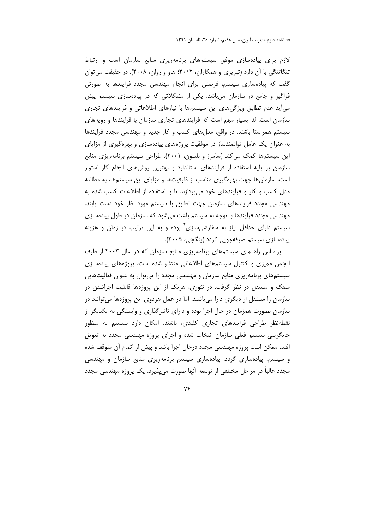لازم برای پیادهسازی موفق سیستمهای برنامهریزی منابع سازمان است و ارتباط تنگاتنگی با آن دارد (تبریزی و همکاران، ٢٠١٢؛ هاو و روان، ٢٠٠٨). در حقیقت می توان گفت که پیادهسازی سیستم، فرصتی برای انجام مهندسی مجدد فرایندها به صورتی فراگیر و جامع در سازمان میباشد. یکی از مشکلاتی که در پیادهسازی سیستم پیش می اید عدم تطابق ویژگیهای این سیستمها با نیازهای اطلاعاتی و فرایندهای تجاری سازمان است. لذا بسیار مهم است که فرایندهای تجاری سازمان با فرایندها و رویههای سیستم همراستا باشند. در واقع، مدلهای کسب و کار جدید و مهندسی مجدد فرایندها به عنوان یک عامل توانمندساز در موفقیت پروژههای پیادهسازی و بهرهگیری از مزایای این سیستمها کمک می کند (سامرز و نلسون، ۲۰۰۱). طراحی سیستم برنامهریزی منابع سازمان بر پایه استفاده از فرایندهای استاندارد و بهترین روشهای انجام کار استوار است. سازمانها جهت بهره گیری مناسب از ظرفیتها و مزایای این سیستهها، به مطالعه مدل کسب و کار و فرایندهای خود می بردازند تا با استفاده از اطلاعات کسب شده به مهندسی مجدد فرایندهای سازمان جهت تطابق با سیستم مورد نظر خود دست یابند. مهندسی مجدد فرایندها با توجه به سیستم باعث میشود که سازمان در طول پیادهسازی سیستم دارای حداقل نیاز به سفارشیسازی ٔ بوده و به این ترتیب در زمان و هزینه پیاده سازی سیستم صرفهجویی گردد (پنگجی، ۲۰۰۵).

براساس راهنمای سیستمهای برنامهریزی منابع سازمان که در سال ۲۰۰۳ از طرف انجمن ممیزی و کنترل سیستمهای اطلاعاتی منتشر شده است، پروژههای پیادهسازی سیستمهای برنامهریزی منابع سازمان و مهندسی مجدد را می توان به عنوان فعالیتهایی منفک و مستقل در نظر گرفت. در تئوری، هریک از این پروژهها قابلیت اجراشدن در سازمان را مستقل از دیگری دارا میباشند، اما در عمل هردوی این پروژهها میتوانند در سازمان بصورت همزمان در حال اجرا بوده و دارای تاثیرگذاری و وابستگی به یکدیگر از نقطهنظر طراحی فرایندهای تجاری کلیدی، باشند. امکان دارد سیستم به منظور جایگزینی سیستم فعلی سازمان انتخاب شده و اجرای پروژه مهندسی مجدد به تعویق افتد. ممکن است پروژه مهندسی مجدد درحال اجرا باشد و پیش از اتمام آن متوقف شده و سیستم، پیادهسازی گردد. پیادهسازی سیستم برنامهریزی منابع سازمان و مهندسی مجدد غالباً در مراحل مختلفی از توسعه آنها صورت می پذیرد. یک پروژه مهندسی مجدد

 $Yf$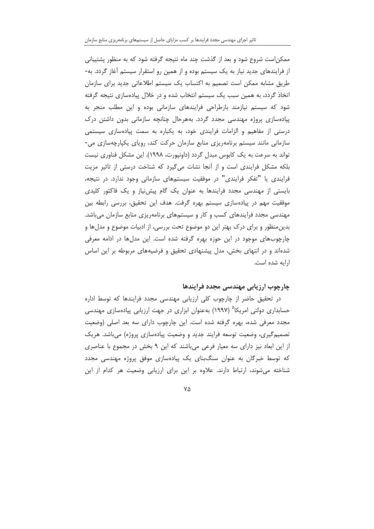ممکن|ست شروع شود و بعد از گذشت چند ماه نتیجه گرفته شود که به منظور پشتیبانی از فرایندهای جدید نیاز به یک سیستم بوده و از همین رو استقرار سیستم آغاز گردد. به-طریق مشابه ممکن است تصمیم به اکتساب یک سیستم اطلاعاتی جدید برای سازمان اتخاذ گردد، به همین سبب یک سیستم انتخاب شده و در خلال پیادهسازی نتیجه گرفته شود که سیستم نیازمند بازطراحی فرایندهای سازمانی بوده و این مطلب منجر به پیادهسازی پروژه مهندسی مجدد گردد. بههرحال چنانچه سازمانی بدون داشتن درک درستی از مفاهیم و الزامات فرایندی خود، به یکباره به سمت پیادهسازی سیستمی سازمانی مانند سیستم برنامهریزی منابع سازمان حرکت کند، رویای یکپارچهسازی می-تواند به سرعت به یک کابوس مبدل گردد (داونپورت، ۱۹۹۸). این مشکل فناوری نیست بلکه مشکل فرایندی است و از آنجا نشات میگیرد که شناخت درستی از تاثیر مزیت فرایندی یا "تفکر فرایندی" در موفقیت سیستمهای سازمانی وجود ندارد. در نتیجه، بایستی از مهندسی مجدد فرایندها به عنوان یک گام پیش نیاز و یک فاکتور کلیدی موفقیت مهم در پیادهسازی سیستم بهره گرفت. هدف این تحقیق، بررسی رابطه بین مهندسی مجدد فرایندهای کسب و کار و سیستمهای برنامهریزی منابع سازمان میباشد. بدین منظور و برای درک بهتر این دو موضوع تحت بررسی، از ادبیات موضوع و مدل ها و چارچوبهای موجود در این حوزه بهره گرفته شده است. این مدلها در ادامه معرفی شدهاند و در انتهای بخش، مدل پیشنهادی تحقیق و فرضیههای مربوطه بر این اساس ارایه شده است.

#### چارچوب ارزیابی مهندسی مجدد فرایندها

در تحقیق حاضر از چارچوب کلی ارزیابی مهندسی مجدد فرایندها که توسط اداره حسابداری دولتی امریکا<sup>۵</sup> (۱۹۹۷) بهعنوان ابزاری در جهت ارزیابی پیادهسازی مهندسی مجدد معرفی شده، بهره گرفته شده است. این چارچوب دارای سه بعد اصلی (وضعیت تصمیم گیری، وضعیت توسعه فرایند جدید و وضعیت پیادهسازی پروژه) میباشد. هریک از این ابعاد نیز دارای سه معیار فرعی می باشند که این ۹ بخش در مجموع با عناصری که توسط خبرگان به عنوان سنگبنای یک پیادهسازی موفق پروژه مهندسی مجدد شناخته می شوند، ارتباط دارند. علاوه بر این برای ارزیابی وضعیت هر کدام از این

 $\mathsf{V}\Delta$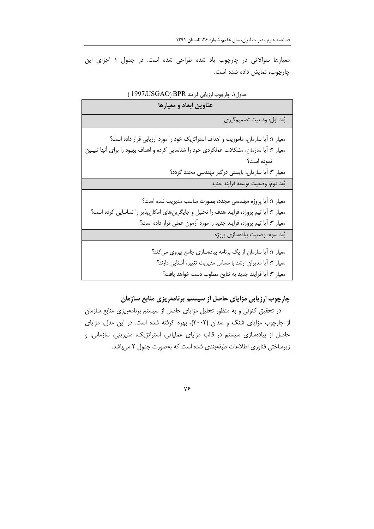معیارها سوالاتی در چارچوب یاد شده طراحی شده است. در جدول ١ اجزای این چارچوب، نمایش داده شده است.

| عناوين ابعاد و معيارها                                                                                                                                                                    |
|-------------------------------------------------------------------------------------------------------------------------------------------------------------------------------------------|
| بُعد اول: وضعيت تصميم گيري                                                                                                                                                                |
| معیار ۱: أیا سازمان، ماموریت و اهداف استراتژیک خود را مورد ارزیابی قرار داده است؟                                                                                                         |
| معیار ۲: آیا سازمان، مشکلات عملکردی خود را شناسایی کرده و اهداف بهبود را برای آنها تبیـین                                                                                                 |
| نموده است؟                                                                                                                                                                                |
| معیار ۳: آیا سازمان، بایستی درگیر مهندسی مجدد گردد؟                                                                                                                                       |
| بُعد دوم: وضعيت توسعه فرايند جديد                                                                                                                                                         |
| معیار ۱: آیا پروژه مهندسی مجدد، بصورت مناسب مدیریت شده است؟<br>معیار ۲: آیا تیم پروژه، فرایند هدف را تحلیل و جایگزینهای امکانپذیر را شناسایی کرده است؟                                    |
| معيار ٣: أيا تيم پروژه، فرايند جديد را مورد أزمون عملي قرار داده است؟                                                                                                                     |
| بُعد سوم: وضعيت پيادهسازي پروژه                                                                                                                                                           |
| معیار ۱: أیا سازمان از یک برنامه پیادهسازی جامع پیروی می کند؟<br>معیار ۲: أیا مدیران ارشد با مسائل مدیریت تغییر، أشنایی دارند؟<br>معيار ٣: أيا فرايند جديد به نتايج مطلوب دست خواهد يافت؟ |

## جدول ١. چارچوب ارزيابي فرايند BPR (1997،USGAO)

چارچوب ارزیابی مزایای حاصل از سیستم برنامهریزی منابع سازمان

در تحقیق کنونی و به منظور تحلیل مزایای حاصل از سیستم برنامهریزی منابع سازمان از چارچوب مزایای شنگ و سدان (۲۰۰۲)، بهره گرفته شده است. در این مدل، مزایای حاصل از پیادهسازی سیستم در قالب مزایای عملیاتی، استراتژیک، مدیریتی، سازمانی، و زیرساختی فناوری اطلاعات طبقهبندی شده است که بهصورت جدول ۲ می باشد.

 $Y \xi$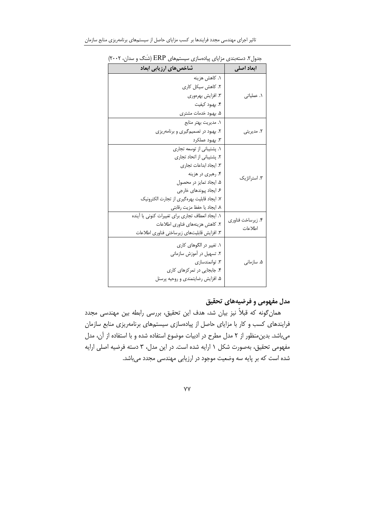| ابعاد اصلى        | شاخصهای ارزیابی ابعاد                                                          |
|-------------------|--------------------------------------------------------------------------------|
|                   | ۱. کاهش هزینه                                                                  |
|                   | ۲. کاهش سیکل کاری                                                              |
| ۱. عملیاتی        | ٣. افزايش بهرهوري                                                              |
|                   | ۴. بهبود کیفیت                                                                 |
|                   | ۵. بهبود خدمات مشتری                                                           |
|                   | ۱. مدیریت بهتر منابع                                                           |
| ۲. مدیریتی        | ۲. بهبود در تصمیمگیری و برنامهریزی                                             |
|                   | ۳. بهبود عملکرد                                                                |
|                   | ١. يشتيبانى از توسعه تجارى                                                     |
|                   | ۲. پشتیبانی از اتحاد تجاری                                                     |
|                   | ۳. ایجاد ابداعات تجاری                                                         |
| ۳. استراتژیک      | ۴. رهبري در هزينه                                                              |
|                   | ۵. ایجاد تمایز در محصول                                                        |
|                   | ۶. ایجاد پیوندهای خارجی                                                        |
|                   | ٧. ايجاد قابليت بهرهگيري از تجارت الكترونيك                                    |
|                   | ۸. ایجاد یا حفظ مزیت رقابتی                                                    |
| ۴. زیرساخت فناوری | ١. ايجاد انعطاف تجارى براى تغييرات كنونى يا آينده                              |
| اطلاعات           | ۲. کاهش هزینههای فناوری اطلاعات<br>٣. افزایش قابلیتهای زیرساختی فناوری اطلاعات |
|                   |                                                                                |
|                   | ۱. تغییر در الگوهای کاری                                                       |
|                   | ۲. تسهیل در آموزش سازمانی                                                      |
| ۵. سازمانی        | ۳. توانمندسازی                                                                 |
|                   | ۴. جابجایی در تمرکزهای کاری                                                    |
|                   | ۵. افزایش رضایتمندی و روحیه پرسنل                                              |

جدول۲. دستهبندی مزایای پیادهسازی سیستمهای ERP (شَنگ و سدان، ۲۰۰۲)

# مدل مفهومی و فرضیههای تحقیق

همان گونه که قبلاً نیز بیان شد، هدف این تحقیق، بررسی رابطه بین مهندسی مجدد فرایندهای کسب و کار با مزایای حاصل از پیادهسازی سیستمهای برنامهریزی منابع سازمان می باشد. بدین منظور از ۲ مدل مطرح در ادبیات موضوع استفاده شده و با استفاده از آن، مدل مفهومی تحقیق، بهصورت شکل ۱ ارایه شده است. در این مدل، ۳ دسته فرضیه اصلی ارایه شده است که بر پایه سه وضعیت موجود در ارزیابی مهندسی مجدد میباشد.

 $YY$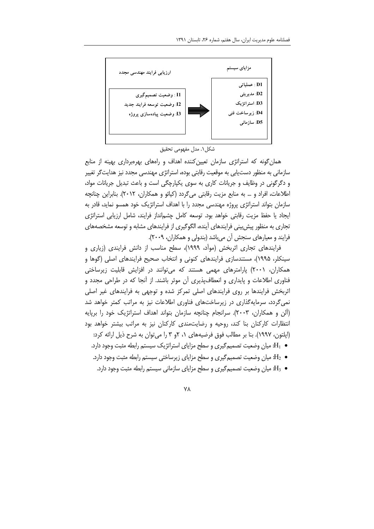

شكل ١. مدل مفهومي تحقيق

همان گونه که استراتژی سازمان تعیین کننده اهداف و رامهای بهرهبرداری بهینه از منابع سازمانی به منظور دستیابی به موقعیت رقابتی بوده، استراتژی مهندسی مجدد نیز هدایتگر تغییر و دگرگونی در وظایف و جریانات کاری به سوی یکپارچگی است و باعث تبدیل جریانات مواد، اطلاعات، افراد و … به منابع مزيت رقابتي ميگردد (كيائو و همكاران، ٢٠١٢). بنابراين چنانچه سازمان بتواند استراتژی پروژه مهندسی مجدد را با اهداف استراتژیک خود همسو نماید، قادر به ایجاد یا حفظ مزیت رقابتی خواهد بود. توسعه کامل چشمانداز فرایند، شامل ارزیابی استراتژی تجاری به منظور پیش بینی فرایندهای آینده، الگوگیری از فرایندهای مشابه و توسعه مشخصههای فرایند و معیارهای سنجش آن میباشد (بندولی و همکاران، ۲۰۰۹).

فرایندهای تجاری اثربخش (مواّد، ۱۹۹۹)، سطح مناسب از دانش فرایندی (زیاری و سینکلر، ۱۹۹۵)، مستندسازی فرایندهای کنونی و انتخاب صحیح فرایندهای اصلی (گوها و همکاران، ۲۰۰۱) پارامترهای مهمی هستند که میتوانند در افزایش قابلیت زیرساختی فناوری اطلاعات و پایداری و انعطافپذیری آن موثر باشند. از آنجا که در طراحی مجدد و اثربخش فرایندها بر روی فرایندهای اصلی تمرکز شده و توجهی به فرایندهای غیر اصلی نمی گردد، سرمایهگذاری در زیرساختهای فناوری اطلاعات نیز به مراتب کمتر خواهد شد (آلن و همکاران، ۲۰۰۳). سرانجام چنانچه سازمان بتواند اهداف استراتژیک خود را برپایه انتظارات کارکنان بنا کند، روحیه و رضایتمندی کارکنان نیز به مراتب بیشتر خواهد بود (ایلتون، ۱۹۹۷). بنا بر مطالب فوق فرضیههای ۱، ۲و ۳ را می توان به شرح ذیل ارائه کرد:

- ه H<sub>1</sub>: میان وضعیت تصمیم *گ*یری و سطح مزایای استراتژیک سیستم رابطه مثبت وجود دارد. ·
- ه H2: میان وضعیت تصمیم گیری و سطح مزایای زیرساختی سیستم رابطه مثبت وجود دارد.
	- ه H3: میان وضعیت تصمیم *گیر*ی و سطح مزایای سازمانی سیستم رابطه مثبت وجود دارد.

**VA**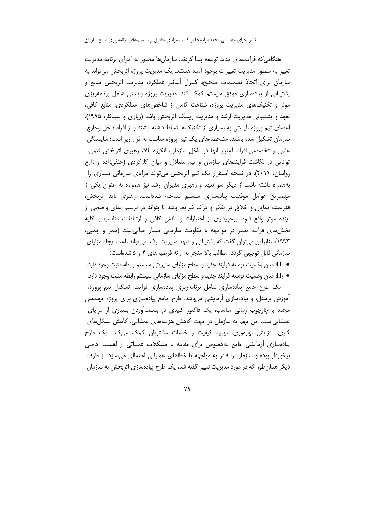هنگامی که فرایندهای جدید توسعه پیدا کردند، سازمانها مجبور به اجرای برنامه مدیریت تغییر به منظور مدیریت تغییرات بوجود آمده هستند. یک مدیریت پروژه اثربخش می تواند به سازمان برای اتخاذ تصمیمات صحیح، کنترل آسانتر عملکرد، مدیریت اثربخش منابع و پشتیبانی از پیادهسازی موفق سیستم کمک کند. مدیریت پروژه بایستی شامل برنامهریزی موثر و تکنیکهای مدیریت پروژه، شناخت کامل از شاخصهای عملکردی، منابع کافی، تعهد و پشتیبانی مدیریت ارشد و مدیریت ریسک اثربخش باشد (زیاری و سینکلر، ۱۹۹۵). اعضای تیم پروژه بایستی به بسیاری از تکنیکها تسلط داشته باشند و از افراد داخل وخارج سازمان تشکیل شده باشند. مشخصههای یک تیم پروژه مناسب به قرار زیر است: شایستگی علمی و تخصصی افراد، اعتبار أنها در داخل سازمان، انگیزه بالا، رهبری اثربخش تیمی، توانایی در نگاشت فرایندهای سازمان و تیم متعادل و میان کارکردی (حنفیزاده و زارع رواسان، ۲۰۱۱). در نتیجه استقرار یک تیم اثربخش میتواند مزایای سازمانی بسیاری را بههمراه داشته باشد. از دیگر سو تعهد و رهبری مدیران ارشد نیز همواره به عنوان یکی از مهمترین عوامل موفقیت پیادهسازی سیستم شناخته شدهاست. رهبری باید اثربخش، قدرتمند، نمایان و خلاق در تفکر و درک شرایط باشد تا بتواند در ترسیم نمای واضحی از آینده موثر واقع شود. برخورداری از اختیارات و دانش کافی و ارتباطات مناسب با کلیه بخش های فرایند تغییر در مواجهه با مقاومت سازمانی بسیار حیاتی است (همر و چمپی، ۱۹۹۳). بنابراین میتوان گفت که پشتیبانی و تعهد مدیریت ارشد میتواند باعث ایجاد مزایای سازمانی قابل توجهی گردد. مطالب بالا منجر به ارائه فرضیههای ۴ و ۵ شدهاست:

ه 44: میان وضعیت توسعه فرایند جدید و سطح مزایای مدیریتی سیستم رابطه مثبت وجود دارد. و H3: میان وضعیت توسعه فرایند جدید و سطح مزایای سازمانی سیستم رابطه مثبت وجود دارد.

یک طرح جامع پیادهسازی شامل برنامهریزی پیادهسازی فرایند، تشکیل تیم پروژه، آموزش پرسنل، و پیادهسازی آزمایشی می باشد. طرح جامع پیادهسازی برای پروژه مهندسی مجدد با چارچوب زمانی مناسب، یک فاکتور کلیدی در بدستآوردن بسیاری از مزایای عملیاتی|ست. این مهم به سازمان در جهت کاهش هزینههای عملیاتی، کاهش سیکلهای کاری، افزایش بهرهوری، بهبود کیفیت و خدمات مشتریان کمک می کند. یک طرح پیادهسازی أزمایشی جامع بهخصوص برای مقابله با مشکلات عملیاتی از اهمیت خاصی برخوردار بوده و سازمان را قادر به مواجهه با خطاهای عملیاتی احتمالی می سازد. از طرف دیگر همان طور که در مورد مدیریت تغییر گفته شد، یک طرح پیادهسازی اثربخش به سازمان

٧٩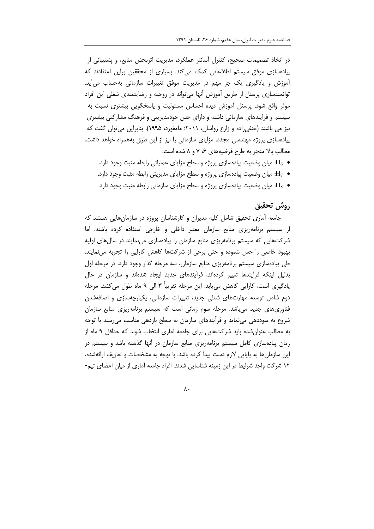در اتخاذ تصمیمات صحیح، کنترل اًسانتر عملکرد، مدیریت اثربخش منابع، و پشتیبانی از پیادهسازی موفق سیستم اطلاعاتی کمک میکند. بسیاری از محققین براین اعتقادند که آموزش و یادگیری یک جز مهم در مدیریت موفق تغییرات سازمانی بهحساب میأید. توانمندسازی پرسنل از طریق آموزش آنها میتواند در روحیه و رضایتمندی شغلی این افراد موثر واقع شود. پرسنل اَموزش دیده احساس مسئولیت و پاسخگویی بیشتری نسبت به سیستم و فرایندهای سازمانی داشته و دارای حس خودمدیریتی و فرهنگ مشارکتی بیشتری نیز می باشند (حنفی;اده و زارع رواسان، ۲۰۱۱؛ مامفورد، ۱۹۹۵). بنابراین می توان گفت که پیادهسازی پروژه مهندسی مجدد، مزایای سازمانی را نیز از این طرق بههمراه خواهد داشت. مطالب بالا منجر به طرح فرضیههای ۶، ۷ و ۸ شده است:

- ه H<sub>6</sub>: میان وضعیت پیادهسازی پروژه و سطح مزایای عملیاتی رابطه مثبت وجود دارد.
- ه H7: میان وضعیت پیادهسازی پروژه و سطح مزایای مدیریتی رابطه مثبت وجود دارد.
- ه Hs . میان وضعیت پیادهسازی پروژه و سطح مزایای سازمانی رابطه مثبت وجود دارد.  $\rm H_8$

#### روش تحقيق

جامعه آماری تحقیق شامل کلیه مدیران و کارشناسان پروژه در سازمانهایی هستند که از سیستم برنامهریزی منابع سازمان معتبر داخلی و خارجی استفاده کرده باشند. اما شرکتهایی که سیستم برنامهریزی منابع سازمان را پیادهسازی مینمایند در سال های اولیه بهبود خاصی را حس ننموده و حتی برخی از شرکتها کاهش کارایی را تجربه می نمایند. طی پیادهسازی سیستم برنامهریزی منابع سازمان، سه مرحله گذار وجود دارد. در مرحله اول بدلیل اینکه فرآیندها تغییر کردهاند، فرآیندهای جدید ایجاد شدهاند و سازمان در حال یادگیری است، کارایی کاهش می یابد. این مرحله تقریباً ۳ الی ۹ ماه طول می کشد. مرحله دوم شامل توسعه مهارتهای شغلی جدید، تغییرات سازمانی، یکپارچهسازی و اضافهشدن فناوری های جدید می باشد. مرحله سوم زمانی است که سیستم برنامهریزی منابع سازمان شروع به سوددهی مینماید و فرآیندهای سازمان به سطح بازدهی مناسب میرسند با توجه به مطالب عنوانشده باید شرکتهایی برای جامعه آماری انتخاب شوند که حداقل ۹ ماه از زمان پیادهسازی کامل سیستم برنامهریزی منابع سازمان در آنها گذشته باشد و سیستم در این سازمانها به پایایی لازم دست پیدا کرده باشد. با توجه به مشخصات و تعاریف ارائهشده، ١٢ شركت واجد شرايط در اين زمينه شناسايي شدند. افراد جامعه آماري از ميان اعضاي تيم-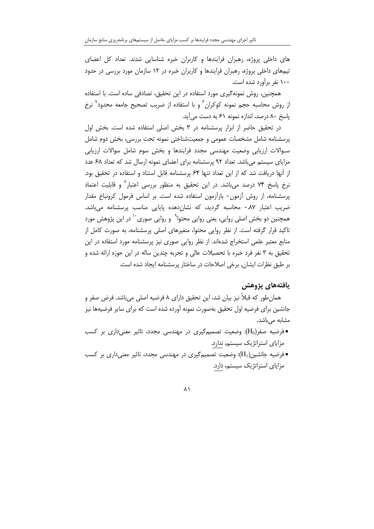های داخلی پروژه، رهبران فرایندها و کاربران خبره شناسایی شدند. تعداد کل اعضای تیمهای داخلی پروژه، رهبران فرایندها و کاربران خبره در ۱۲ سازمان مورد بررسی در حدود ۱۰۰ نفر برآورد شده است.

همچنین، روش نمونهگیری مورد استفاده در این تحقیق، تصادفی ساده است. با استفاده از روش محاسبه حجم نمونه کوکران<sup>۶</sup> و با استفاده از ضریب تصحیح جامعه محدود<sup>۷</sup> نرخ یاسخ ۸۰ درصد، اندازه نمونه ۶۱ به دست می آید.

در تحقیق حاضر از ابزار پرسشنامه در ۳ بخش اصلی استفاده شده است. بخش اول پرسشنامه شامل مشخصات عمومی و جمعیتشناختی نمونه تحت بررسی، بخش دوم شامل سـوالات ارزیابی وضعیت مهندسی مجدد فرایندها و بخش سوم شامل سوالات ارزیابی مزایای سیستم می باشد. تعداد ۹۲ پرسشنامه برای اعضای نمونه ارسال شد که تعداد ۶۸ عدد از آنها دریافت شد که از این تعداد تنها ۶۴ پرسشنامه قابل استناد و استفاده در تحقیق بود. نرخ پاسخ ۷۴ درصد می باشد. در این تحقیق به منظور بررسی اعتبار^ و قابلیت اعتماد یرسشنامه، از روش آزمون– بازآزمون استفاده شده است. بر اساس فرمول کرونباخ مقدار ضریب اعتبار ۰.۸۷ محاسبه گردید، که نشاندهده پایایی مناسب پرسشنامه میباشد. همچنین دو بخش اصلی روایی، یعنی روایی محتوا<sup>۹</sup> و روایی صوری<sup>۱۰</sup> در این پژوهش مورد تاکید قرار گرفته است. از نظر روایی محتوا، متغیرهای اصلی پرسشنامه، به صورت کامل از منابع معتبر علمی استخراج شدهاند. از نظر روایی صوری نیز پرسشنامه مورد استفاده در این تحقیق به ۳ نفر فرد خبره با تحصیلات عالی و تجربه چندین ساله در این حوزه ارائه شده و بر طبق نظرات ایشان, برخی اصلاحات در ساختار پرسشنامه ایجاد شده است.

#### يافتههاي يژوهش

همانطور که قبلا نیز بیان شد، این تحقیق دارای ۸ فرضیه اصلی میباشد. فرض صفر و جانشین برای فرضیه اول تحقیق بهصورت نمونه آورده شده است که برای سایر فرضیهها نیز مشابه مے باشد.

- فرضیه صفر(H0): وضعیت تصمیمگیری در مهندسی مجدد، تاثیر معنیداری بر کسب مزایای استراتژیک سیستم، ندارد.
- فرضیه جانشین(H1): وضعیت تصمیمگیری در مهندسی مجدد، تاثیر معنیداری بر کسب مزایای استراتژیک سیستم، دارد.

#### $\lambda$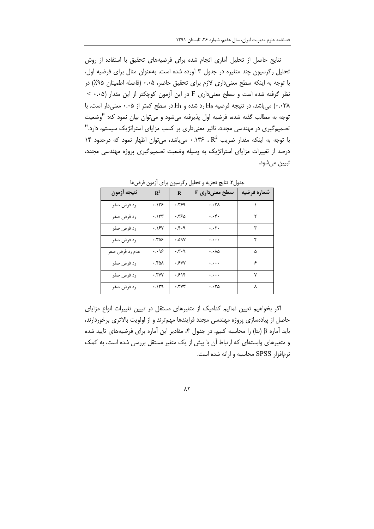نتايج حاصل از تحليل أماري انجام شده براي فرضيههاي تحقيق با استفاده از روش تحلیل رگرسیون چند متغیره در جدول ۳ آورده شده است. بهعنوان مثال برای فرضیه اول، با توجه به اینکه سطح معنیداری لازم برای تحقیق حاضر، ۰.۰۵ (فاصله اطمینان ۹۵٪) در نظر گرفته شده است و سطح معنیداری F در این آزمون کوچکتر از این مقدار (۰.۰۵ > ۰.۰۳۸) می باشد، در نتیجه فرضیه H<sub>0</sub> رد شده و H<sub>1</sub> در سطح کمتر از ۰.۰۵ معنی دار است. با توجه به مطالب گفته شده، فرضیه اول پذیرفته میشود و میتوان بیان نمود که: "وضعیت تصمیم گیری در مهندسی مجدد، تاثیر معنی داری بر کسب مزایای استراتژیک سیستم، دارد." با توجه به اینکه مقدار ضریب R<sup>2</sup> ، R<sup>2.</sup> میباشد، میتوان اظهار نمود که درحدود ۱۴ درصد از تغییرات مزایای استراتژیک به وسیله وضعیت تصمیمگیری پروژه مهندسی مجدد، تبيين مي شود.

| نتيجه أزمون    | $\mathbb{R}^2$ | $\bf R$                                    | سطح معنیداری F           | شماره فرضيه |
|----------------|----------------|--------------------------------------------|--------------------------|-------------|
| رد فرض صفر     | ۱۳۶.۰          | ۶۹.۰                                       | $\cdot \cdot \cdot \tau$ |             |
| رد فرض صفر     | ۰.۱۳۳          | ۶۳۶۵.                                      | $\cdot \cdot$ ۴۰         | ٢           |
| رد فرض صفر     | ۰.۱۶۷          | .4.9                                       | $\cdot \cdot \cdot$      | ٣           |
| رد فرض صفر     | ۰.۳۵۶          | ۰.۵۹۷                                      | معمية                    | ۴           |
| عدم رد فرض صفر | ۹۶.۰           | $\cdot$ . ۳ $\cdot$ ۹                      | ۰.۰۸۵                    | ۵           |
| رد فرض صفر     | ۰.۴۵۸          | ۰۶W                                        |                          | ۶           |
| رد فرض صفر     | ۰.۳۷۷          | ۱۶۱۴                                       | $\ddotsc$                | ٧           |
| رد فرض صفر     | .119           | $\cdot$ . $\mathsf{r}\mathsf{v}\mathsf{r}$ | $\cdots$ ۳۵              | Υ           |

جدول٣. نتايج تجزيه وتحليل ركرسيون براي آزمون فرضها

اگر بخواهیم تعیین نمائیم کدامیک از متغیرهای مستقل در تبیین تغییرات انواع مزایای حاصل از پیادهسازی پروژه مهندسی مجدد فرایندها مهمترند و از اولویت بالاتری برخوردارند، باید آماره β (بتا) را محاسبه کنیم. در جدول ۴، مقادیر این آماره برای فرضیههای تایید شده و متغیرهای وابستهای که ارتباط آن با بیش از یک متغیر مستقل بررسی شده است، به کمک نرم افزار SPSS محاسبه و ارائه شده است.

 $\Lambda$ ٢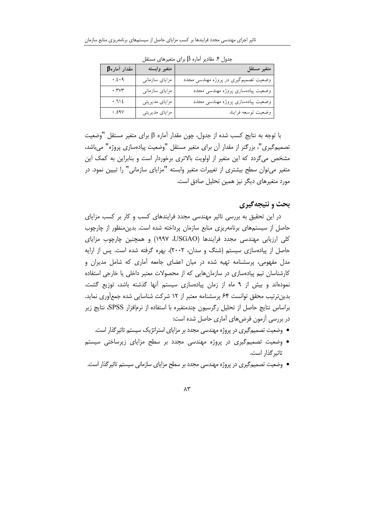| $\beta$ مقدار آماره | متغير وابسته   | متغير مستقل                          |
|---------------------|----------------|--------------------------------------|
| .5.9                | مزایای سازمانی | وضعیت تصمیمگیری در پروژه مهندسی مجدد |
| $\cdot$ , rvr       | مزایای سازمانی | وضعیت پیادهسازی پروژه مهندسی مجدد    |
| .712                | مزاياي مديريتي | وضعیت پیادهسازی پروژه مهندسی مجدد    |
| .09V                | مزاياي مديريتي | وضعيت توسعه فرايند                   |

جدول ۴. مقادیر آماره  $\beta$  برای متغیرهای مستقل

با توجه به نتایج کسب شده از جدول، چون مقدار آماره β برای متغیر مستقل "وضعیت تصمیم گیری"، بزرگتر از مقدار آن برای متغیر مستقل "وضعیت پیادهسازی پروژه" میباشد، مشخص میگردد که این متغیر از اولویت بالاتری برخوردار است و بنابراین به کمک این متغیر می توان سطح بیشتری از تغییرات متغیر وابسته "مزایای سازمانی" را تبیین نمود. در مورد متغیرهای دیگر نیز همین تحلیل صادق است.

#### بحث و نتیجهگیری

در این تحقیق به بررسی تاثیر مهندسی مجدد فرایندهای کسب و کار بر کسب مزایای حاصل از سیستمهای برنامهریزی منابع سازمان پرداخته شده است. بدین منظور از چارچوب کلی ارزیابی مهندسی مجدد فرایندها (USGAO، ۱۹۹۷) و همچنین چارچوب مزایای حاصل از پیادهسازی سیستم (شنگ و سدان، ۲۰۰۲)، بهره گرفته شده است. پس از ارایه مدل مفهومی، پرسشنامه تهیه شده در میان اعضای جامعه آماری که شامل مدیران و کارشناسان تیم پیادهسازی در سازمانهایی که از محصولات معتبر داخلی یا خارجی استفاده نمودهاند و بیش از ۹ ماه از زمان پیادهسازی سیستم آنها گذشته باشد، توزیع گشت. بدین ترتیب محقق توانست ۶۴ پرسشنامه معتبر از ۱۲ شرکت شناسایی شده جمع آوری نماید. براساس نتايج حاصل از تحليل رگرسيون چندمتغيره با استفاده از نرمافزار SPSS، نتايج زير در بررسی آزمون فرضهای آماری حاصل شده است:

- وضعیت تصمیمگیری در پروژه مهندسی مجدد بر مزایای استراتژیک سیستم تاثیرگذار است.
- وضعیت تصمیمگیری در پروژه مهندسی مجدد بر سطح مزایای زیرساختی سیستم تاثیر گذار است.
- وضعیت تصمیمگیری در پروژه مهندسی مجدد بر سطح مزایای سازمانی سیستم تاثیرگذار است.

 $\Lambda \mathsf{r}$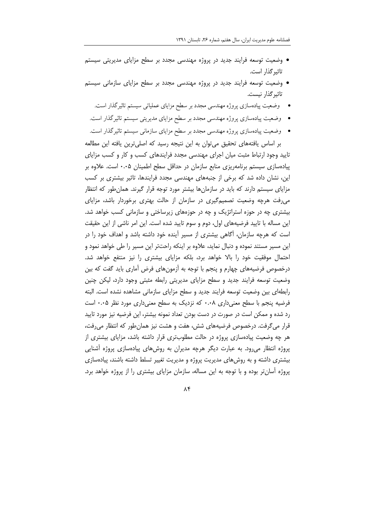- وضعیت توسعه فرایند جدید در پروژه مهندسی مجدد بر سطح مزایای مدیریتی سیستم تاثیر گذار است.
- وضعیت توسعه فرایند جدید در پروژه مهندسی مجدد بر سطح مزایای سازمانی سیستم تاثیر گذار نیست.
	- وضعیت پیادهسازی پروژه مهندسی مجدد بر سطح مزایای عملیاتی سیستم تاثیرگذار است.
	- وضعیت پیادهسازی پروژه مهندسی مجدد بر سطح مزایای مدیریتی سیستم تاثیرگذار است.
- وضعیت پیادهسازی پروژه مهندسی مجدد بر سطح مزایای سازمانی سیستم تاثیرگذار است. بر اساس یافتههای تحقیق می توان به این نتیجه رسید که اصلی ترین یافته این مطالعه

تایید وجود ارتباط مثبت میان اجرای مهندسی مجدد فرایندهای کسب و کار و کسب مزایای پیادهسازی سیستم برنامهریزی منابع سازمان در حداقل سطح اطمینان ۰.۰۵ است. علاوه بر این، نشان داده شد که برخی از جنبههای مهندسی مجدد فرایندها، تاثیر بیشتری بر کسب مزایای سیستم دارند که باید در سازمانها بیشتر مورد توجه قرار گیرند. همان طور که انتظار می رفت هرچه وضعیت تصمیم گیری در سازمان از حالت بهتری برخوردار باشد، مزایای بیشتری چه در حوزه استراتژیک و چه در حوزههای زیرساختی و سازمانی کسب خواهد شد. این مساله با تایید فرضیههای اول، دوم و سوم تایید شده است. این امر ناشی از این حقیقت است که هرچه سازمان، آگاهی بیشتری از مسیر آینده خود داشته باشد و اهداف خود را در این مسیر مستند نموده و دنبال نماید، علاوه بر اینکه راحتتر این مسیر را طی خواهد نمود و احتمال موفقیت خود را بالا خواهد برد، بلکه مزایای بیشتری را نیز منتفع خواهد شد. درخصوص فرضیههای چهارم و پنجم با توجه به اّزمونهای فرض اّماری باید گفت که بین وضعیت توسعه فرایند جدید و سطح مزایای مدیریتی رابطه مثبتی وجود دارد، لیکن چنین رابطهای بین وضعیت توسعه فرایند جدید و سطح مزایای سازمانی مشاهده نشده است. البته فرضیه پنجم با سطح معنیداری ۰.۰۸ که نزدیک به سطح معنیداری مورد نظر ۰.۰۵ است رد شده و ممکن است در صورت در دست بودن تعداد نمونه بیشتر، این فرضیه نیز مورد تایید قرار میگرفت. درخصوص فرضیههای شش، هفت و هشت نیز همان طور که انتظار میرفت، هر چه وضعیت پیادهسازی پروژه در حالت مطلوبتری قرار داشته باشد، مزایای بیشتری از پروژه انتظار می رود. به عبارت دیگر هرچه مدیران به روشهای پیادهسازی پروژه آشنایی بیشتری داشته و به روشهای مدیریت پروژه و مدیریت تغییر تسلط داشته باشند، پیادهسازی یروژه آسان تر بوده و با توجه به این مساله، سازمان مزایای بیشتری را از پروژه خواهد برد.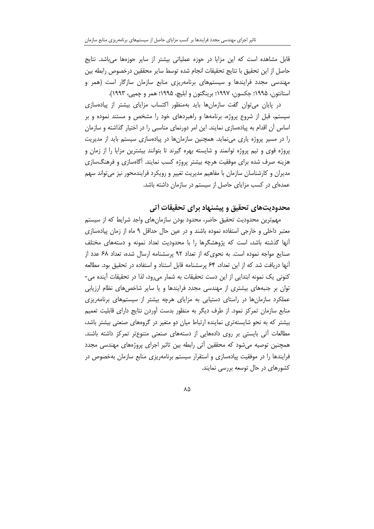قابل مشاهده است که این مزایا در حوزه عملیاتی بیشتر از سایر حوزهها میباشد. نتایج حاصل از اين تحقيق با نتايج تحقيقات انجام شده توسط ساير محققين درخصوص رابطه بين مهندسی مجدد فرایندها و سیستمهای برنامهریزی منابع سازمان سازگار است (همر و استانتون، ۱۹۹۵؛ جکسون، ۱۹۹۷؛ برینگتون و ابلیچ، ۱۹۹۵؛ همر و چمپی، ۱۹۹۳).

در پایان می توان گفت سازمانها باید بهمنظور اکتساب مزایای بیشتر از پیادهسازی سیستم، قبل از شروع پروژه، برنامهها و راهبردهای خود را مشخص و مستند نموده و بر اساس اّن اقدام به پیادهسازی نمایند. این امر دورنمای مناسبی را در اختیار گذاشته و سازمان را در مسیر پروژه پاری می نماید. همچنین سازمان ها در پیادهسازی سیستم باید از مدیریت پروژه قوی و تیم پروژه توانمند و شایسته بهره گیرند تا بتوانند بیشترین مزایا را از زمان و هزینه صرف شده برای موفقیت هرچه بیشتر پروژه کسب نمایند. آگاهسازی و فرهنگسازی مدیران و کارشناسان سازمان با مفاهیم مدیریت تغییر و رویکرد فرایندمحور نیز میتواند سهم عمدهای در کسب مزایای حاصل از سیستم در سازمان داشته باشد.

## محدودیتهای تحقیق و پیشنهاد برای تحقیقات أتی

مهمترین محدودیت تحقیق حاضر، محدود بودن سازمانهای واجد شرایط که از سیستم معتبر داخلی و خارجی استفاده نموده باشند و در عین حال حداقل ۹ ماه از زمان پیادهسازی أنها گذشته باشد، است که پژوهشگرها را با محدودیت تعداد نمونه و دستههای مختلف صنایع مواجه نموده است. به نحوی که از تعداد ۹۲ پرسشنامه ارسال شده، تعداد ۶۸ عدد از آنها دریافت شد که از این تعداد، ۶۴ پرسشنامه قابل استناد و استفاده در تحقیق بود. مطالعه کنونی یک نمونه ابتدایی از این دست تحقیقات به شمار میرود، لذا در تحقیقات آینده می-توان بر جنبههای بیشتری از مهندسی مجدد فرایندها و یا سایر شاخصهای نظام ارزیابی عملکرد سازمانها در راستای دستیابی به مزایای هرچه بیشتر از سیستمهای برنامهریزی منابع سازمان تمرکز نمود. از طرف دیگر به منظور بدست أوردن نتایج دارای قابلیت تعمیم بیشتر که به نحو شایستهتری نماینده ارتباط میان دو متغیر در گروههای صنعتی بیشتر باشد، مطالعات آتی بایستی بر روی دادههایی از دستههای صنعتی متنوعتر تمرکز داشته باشند. همچنین توصیه میشود که محققین أتی رابطه بین تاثیر اجرای پروژههای مهندسی مجدد فرایندها را در موفقیت پیادهسازی و استقرار سیستم برنامهریزی منابع سازمان بهخصوص در کشورهای در حال توسعه بررسی نمایند.

#### $\Lambda \Delta$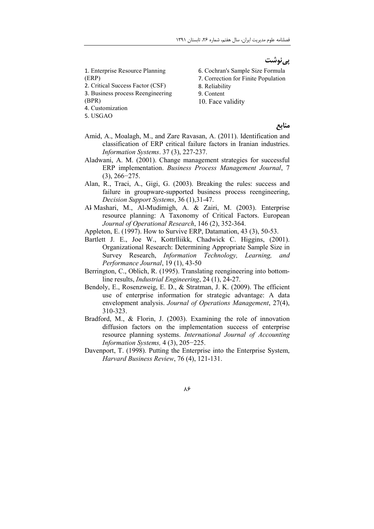فصلنامه علوم مديريت ايران، سال هفتم، شماره ٢۶، تابستان ١٣٩١

<u>یے نوشت</u>

1. Enterprise Resource Planning  $(ERP)$ 

- 2. Critical Success Factor (CSF)
- 3. Business process Reengineering

 $(BPR)$ 

4. Customization

5. USGAO

6. Cochran's Sample Size Formula

- 7. Correction for Finite Population
- 8. Reliability
- 9. Content
- 10. Face validity

منابع

- Amid, A., Moalagh, M., and Zare Ravasan, A. (2011). Identification and classification of ERP critical failure factors in Iranian industries. Information Systems. 37 (3), 227-237.
- Aladwani, A. M. (2001). Change management strategies for successful ERP implementation. Business Process Management Journal, 7  $(3), 266 - 275.$
- Alan, R., Traci, A., Gigi, G. (2003). Breaking the rules: success and failure in groupware-supported business process reengineering, Decision Support Systems, 36 (1), 31-47.
- Al Mashari, M., Al-Mudimigh, A. & Zairi, M. (2003). Enterprise resource planning: A Taxonomy of Critical Factors. European Journal of Operational Research, 146 (2), 352-364.
- Appleton, E. (1997). How to Survive ERP, Datamation, 43 (3), 50-53.
- Bartlett J. E., Joe W., Kottrilijkk, Chadwick C. Higgins, (2001). Organizational Research: Determining Appropriate Sample Size in Survey Research, *Information Technology*, *Learning*, and Performance Journal, 19 (1), 43-50
- Berrington, C., Oblich, R. (1995). Translating reengineering into bottomline results, *Industrial Engineering*, 24(1), 24-27.
- Bendoly, E., Rosenzweig, E. D., & Stratman, J. K. (2009). The efficient use of enterprise information for strategic advantage: A data envelopment analysis. Journal of Operations Management, 27(4), 310-323.
- Bradford, M., & Florin, J. (2003). Examining the role of innovation diffusion factors on the implementation success of enterprise resource planning systems. International Journal of Accounting Information Systems, 4 (3), 205-225.
- Davenport, T. (1998). Putting the Enterprise into the Enterprise System, Harvard Business Review, 76 (4), 121-131.

٨۶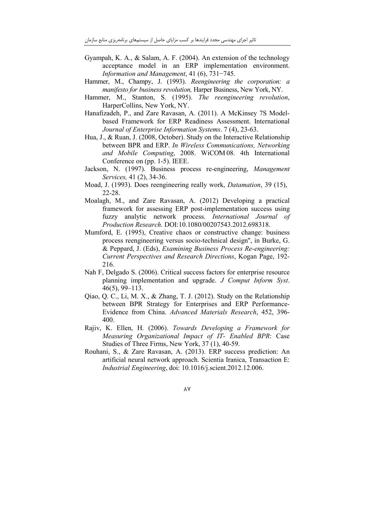- Gyampah, K. A., & Salam, A. F. (2004). An extension of the technology acceptance model in an ERP implementation environment. Information and Management,  $41(6)$ ,  $731-745$ .
- Hammer, M., Champy, J. (1993). Reengineering the corporation: a manifesto for business revolution, Harper Business, New York, NY.
- Hammer, M., Stanton, S. (1995). The reengineering revolution, HarperCollins, New York, NY.
- Hanafizadeh, P., and Zare Ravasan, A. (2011). A McKinsey 7S Modelbased Framework for ERP Readiness Assessment. International Journal of Enterprise Information Systems. 7 (4), 23-63.
- Hua, J., & Ruan, J. (2008, October). Study on the Interactive Relationship between BPR and ERP. In Wireless Communications, Networking and Mobile Computing, 2008. WiCOM08. 4th International Conference on (pp. 1-5). IEEE.
- Jackson, N. (1997). Business process re-engineering, Management Services, 41 (2), 34-36.
- Moad, J. (1993). Does reengineering really work. Datamation, 39 (15).  $22 - 28$ .
- Moalagh, M., and Zare Ravasan, A. (2012) Developing a practical framework for assessing ERP post-implementation success using fuzzy analytic network process. International Journal of Production Research. DOI:10.1080/00207543.2012.698318.
- Mumford, E. (1995), Creative chaos or constructive change: business process reengineering versus socio-technical design", in Burke, G. & Peppard, J. (Eds), Examining Business Process Re-engineering: Current Perspectives and Research Directions, Kogan Page, 192-216.
- Nah F, Delgado S, (2006). Critical success factors for enterprise resource planning implementation and upgrade. J Comput Inform Syst.  $46(5)$ , 99-113.
- Qiao, Q. C., Li, M. X., & Zhang, T. J. (2012). Study on the Relationship between BPR Strategy for Enterprises and ERP Performance-Evidence from China. Advanced Materials Research, 452, 396-400.
- Rajiv, K. Ellen, H. (2006). Towards Developing a Framework for Measuring Organizational Impact of IT- Enabled BPR: Case Studies of Three Firms, New York, 37 (1), 40-59.
- Rouhani, S., & Zare Ravasan, A. (2013). ERP success prediction: An artificial neural network approach. Scientia Iranica, Transaction E: Industrial Engineering, doi: 10.1016/j.scient.2012.12.006.